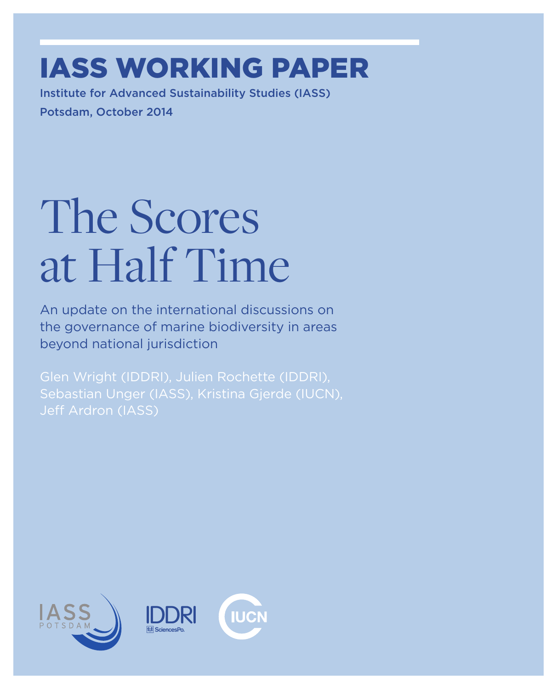### IASS WorkING paper

Institute for Advanced Sustainability Studies (IASS) Potsdam, October 2014

# The Scores at Half Time

An update on the international discussions on the governance of marine biodiversity in areas beyond national jurisdiction

Glen Wright (IDDRI), Julien Rochette (IDDRI), Sebastian Unger (IASS), Kristina Gjerde (IUCN), Jeff Ardron (IASS)

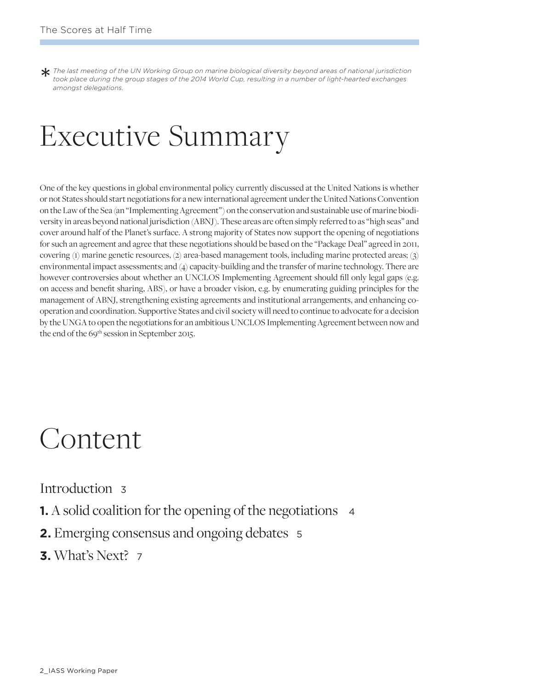*The last meeting of the UN Working Group on marine biological diversity beyond areas of national jurisdiction took place during the group stages of the 2014 World Cup, resulting in a number of light-hearted exchanges amon took place during the group stages of the 2014 World Cup, resulting in a number of light-hearted exchanges amongst delegations.* 

### Executive Summary

One of the key questions in global environmental policy currently discussed at the United Nations is whether or not States should start negotiations for a new international agreement under the United Nations Convention on the Law of the Sea (an "Implementing Agreement") on the conservation and sustainable use of marine biodiversity in areas beyond national jurisdiction (ABNJ). These areas are often simply referred to as "high seas" and cover around half of the Planet's surface. A strong majority of States now support the opening of negotiations for such an agreement and agree that these negotiations should be based on the "Package Deal" agreed in 2011, covering (1) marine genetic resources, (2) area-based management tools, including marine protected areas; (3) environmental impact assessments; and (4) capacity-building and the transfer of marine technology. There are however controversies about whether an UNCLOS Implementing Agreement should fill only legal gaps (e.g. on access and benefit sharing, ABS), or have a broader vision, e.g. by enumerating guiding principles for the management of ABNJ, strengthening existing agreements and institutional arrangements, and enhancing cooperation and coordination. Supportive States and civil society will need to continue to advocate for a decision by the UNGA to open the negotiations for an ambitious UNCLOS Implementing Agreement between now and the end of the 69<sup>th</sup> session in September 2015.

#### Content

Introduction <sup>3</sup>

- **1.** A solid coalition for the opening of the negotiations 4
- **2.** Emerging consensus and ongoing debates <sup>5</sup>
- **3.** What's Next? <sup>7</sup>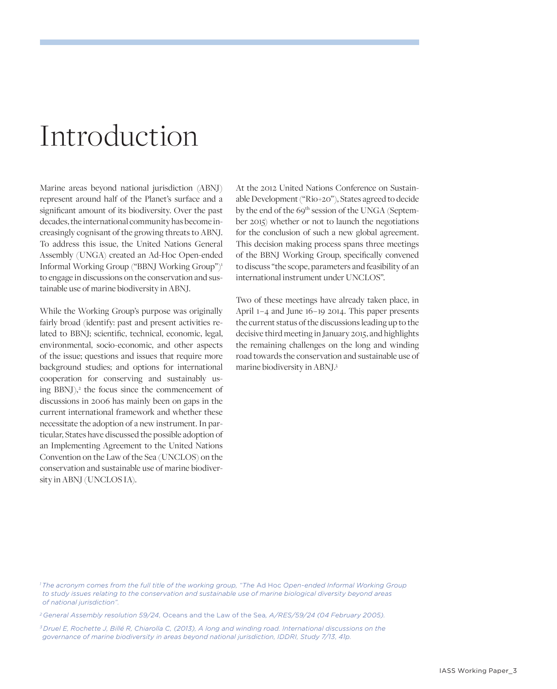#### Introduction

Marine areas beyond national jurisdiction (ABNJ) represent around half of the Planet's surface and a significant amount of its biodiversity. Over the past decades, the international community has become increasingly cognisant of the growing threats to ABNJ. To address this issue, the United Nations General Assembly (UNGA) created an Ad-Hoc Open-ended Informal Working Group ("BBNJ Working Group")1 to engage in discussions on the conservation and sustainable use of marine biodiversity in ABNJ.

While the Working Group's purpose was originally fairly broad (identify: past and present activities related to BBNJ; scientific, technical, economic, legal, environmental, socio-economic, and other aspects of the issue; questions and issues that require more background studies; and options for international cooperation for conserving and sustainably using BBNJ),<sup>2</sup> the focus since the commencement of discussions in 2006 has mainly been on gaps in the current international framework and whether these necessitate the adoption of a new instrument. In particular, States have discussed the possible adoption of an Implementing Agreement to the United Nations Convention on the Law of the Sea (UNCLOS) on the conservation and sustainable use of marine biodiversity in ABNJ (UNCLOS IA).

At the 2012 United Nations Conference on Sustainable Development ("Rio+20"), States agreed to decide by the end of the 69<sup>th</sup> session of the UNGA (September 2015) whether or not to launch the negotiations for the conclusion of such a new global agreement. This decision making process spans three meetings of the BBNJ Working Group, specifically convened to discuss "the scope, parameters and feasibility of an international instrument under UNCLOS".

Two of these meetings have already taken place, in April 1 – 4 and June 16 – 19 2014. This paper presents the current status of the discussions leading up to the decisive third meeting in January 2015, and highlights the remaining challenges on the long and winding road towards the conservation and sustainable use of marine biodiversity in ABNJ.3

*2 General Assembly resolution 59/24,* Oceans and the Law of the Sea*, A/RES/59/24 (04 February 2005).*

*3 Druel E, Rochette J, Billé R, Chiarolla C, (2013), A long and winding road. International discussions on the governance of marine biodiversity in areas beyond national jurisdiction, IDDRI, Study 7/13, 41p.*

*<sup>1</sup> The acronym comes from the full title of the working group, "The* Ad Hoc *Open-ended Informal Working Group to study issues relating to the conservation and sustainable use of marine biological diversity beyond areas of national jurisdiction".*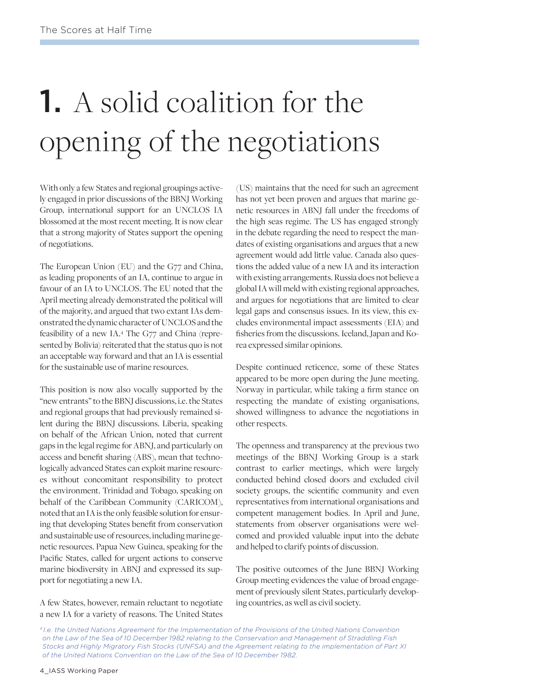## 1. A solid coalition for the opening of the negotiations

With only a few States and regional groupings actively engaged in prior discussions of the BBNJ Working Group, international support for an UNCLOS IA blossomed at the most recent meeting. It is now clear that a strong majority of States support the opening of negotiations.

The European Union (EU) and the G77 and China, as leading proponents of an IA, continue to argue in favour of an IA to UNCLOS. The EU noted that the April meeting already demonstrated the political will of the majority, and argued that two extant IAs demonstrated the dynamic character of UNCLOS and the feasibility of a new IA.4 The G77 and China (represented by Bolivia) reiterated that the status quo is not an acceptable way forward and that an IA is essential for the sustainable use of marine resources.

This position is now also vocally supported by the "new entrants" to the BBNJ discussions, i.e. the States and regional groups that had previously remained silent during the BBNJ discussions. Liberia, speaking on behalf of the African Union, noted that current gaps in the legal regime for ABNJ, and particularly on access and benefit sharing (ABS), mean that technologically advanced States can exploit marine resources without concomitant responsibility to protect the environment. Trinidad and Tobago, speaking on behalf of the Caribbean Community (CARICOM), noted that an IA is the only feasible solution for ensuring that developing States benefit from conservation and sustainable use of resources, including marine genetic resources. Papua New Guinea, speaking for the Pacific States, called for urgent actions to conserve marine biodiversity in ABNJ and expressed its support for negotiating a new IA.

A few States, however, remain reluctant to negotiate a new IA for a variety of reasons. The United States

(US) maintains that the need for such an agreement has not yet been proven and argues that marine genetic resources in ABNJ fall under the freedoms of the high seas regime. The US has engaged strongly in the debate regarding the need to respect the mandates of existing organisations and argues that a new agreement would add little value. Canada also questions the added value of a new IA and its interaction with existing arrangements. Russia does not believe a global IA will meld with existing regional approaches, and argues for negotiations that are limited to clear legal gaps and consensus issues. In its view, this excludes environmental impact assessments (EIA) and fisheries from the discussions. Iceland, Japan and Korea expressed similar opinions.

Despite continued reticence, some of these States appeared to be more open during the June meeting. Norway in particular, while taking a firm stance on respecting the mandate of existing organisations, showed willingness to advance the negotiations in other respects.

The openness and transparency at the previous two meetings of the BBNJ Working Group is a stark contrast to earlier meetings, which were largely conducted behind closed doors and excluded civil society groups, the scientific community and even representatives from international organisations and competent management bodies. In April and June, statements from observer organisations were welcomed and provided valuable input into the debate and helped to clarify points of discussion.

The positive outcomes of the June BBNJ Working Group meeting evidences the value of broad engagement of previously silent States, particularly developing countries, as well as civil society.

*<sup>4</sup> I.e. the United Nations Agreement for the Implementation of the Provisions of the United Nations Convention on the Law of the Sea of 10 December 1982 relating to the Conservation and Management of Straddling Fish Stocks and Highly Migratory Fish Stocks (UNFSA) and the Agreement relating to the implementation of Part XI of the United Nations Convention on the Law of the Sea of 10 December 1982.*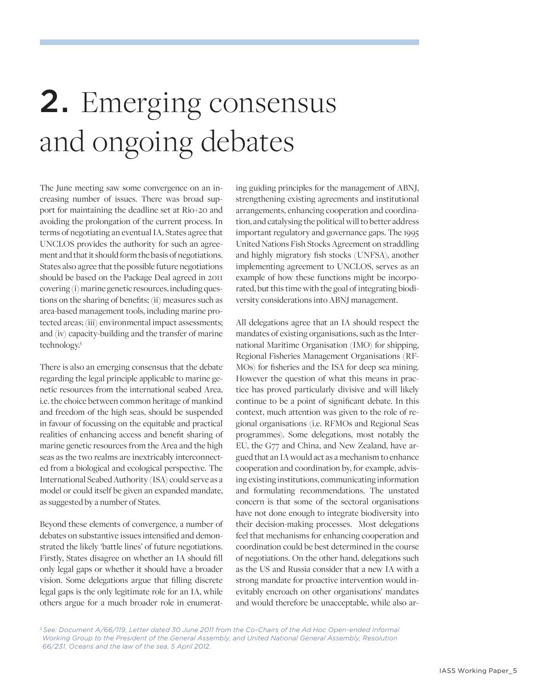### 2. Emerging consensus and ongoing debates

The June meeting saw some convergence on an increasing number of issues. There was broad support for maintaining the deadline set at Rio+20 and avoiding the prolongation of the current process. In terms of negotiating an eventual IA, States agree that UNCLOS provides the authority for such an agreement and that it should form the basis of negotiations. States also agree that the possible future negotiations should be based on the Package Deal agreed in 2011 covering (i) marine genetic resources, including questions on the sharing of benefits; (ii) measures such as area-based management tools, including marine protected areas; (iii) environmental impact assessments; and (iv) capacity-building and the transfer of marine technology.<sup>5</sup>

There is also an emerging consensus that the debate regarding the legal principle applicable to marine genetic resources from the international seabed Area, i.e. the choice between common heritage of mankind and freedom of the high seas, should be suspended in favour of focussing on the equitable and practical realities of enhancing access and benefit sharing of marine genetic resources from the Area and the high seas as the two realms are inextricably interconnected from a biological and ecological perspective. The International Seabed Authority (ISA) could serve as a model or could itself be given an expanded mandate, as suggested by a number of States.

Beyond these elements of convergence, a number of debates on substantive issues intensified and demonstrated the likely 'battle lines' of future negotiations. Firstly, States disagree on whether an IA should fill only legal gaps or whether it should have a broader vision. Some delegations argue that filling discrete legal gaps is the only legitimate role for an IA, while others argue for a much broader role in enumerating guiding principles for the management of ABNJ, strengthening existing agreements and institutional arrangements, enhancing cooperation and coordination, and catalysing the political will to better address important regulatory and governance gaps. The 1995 United Nations Fish Stocks Agreement on straddling and highly migratory fish stocks (UNFSA), another implementing agreement to UNCLOS, serves as an example of how these functions might be incorporated, but this time with the goal of integrating biodiversity considerations into ABNJ management.

All delegations agree that an IA should respect the mandates of existing organisations, such as the International Maritime Organisation (IMO) for shipping, Regional Fisheries Management Organisations (RF-MOs) for fisheries and the ISA for deep sea mining. However the question of what this means in practice has proved particularly divisive and will likely continue to be a point of significant debate. In this context, much attention was given to the role of regional organisations (i.e. RFMOs and Regional Seas programmes). Some delegations, most notably the EU, the G77 and China, and New Zealand, have argued that an IA would act as a mechanism to enhance cooperation and coordination by, for example, advising existing institutions, communicating information and formulating recommendations. The unstated concern is that some of the sectoral organisations have not done enough to integrate biodiversity into their decision-making processes. Most delegations feel that mechanisms for enhancing cooperation and coordination could be best determined in the course of negotiations. On the other hand, delegations such as the US and Russia consider that a new IA with a strong mandate for proactive intervention would inevitably encroach on other organisations' mandates and would therefore be unacceptable, while also ar-

*5 See: Document A/66/119, Letter dated 30 June 2011 from the Co-Chairs of the Ad Hoc Open-ended Informal Working Group to the President of the General Assembly, and United National General Assembly, Resolution 66/231, Oceans and the law of the sea, 5 April 2012.*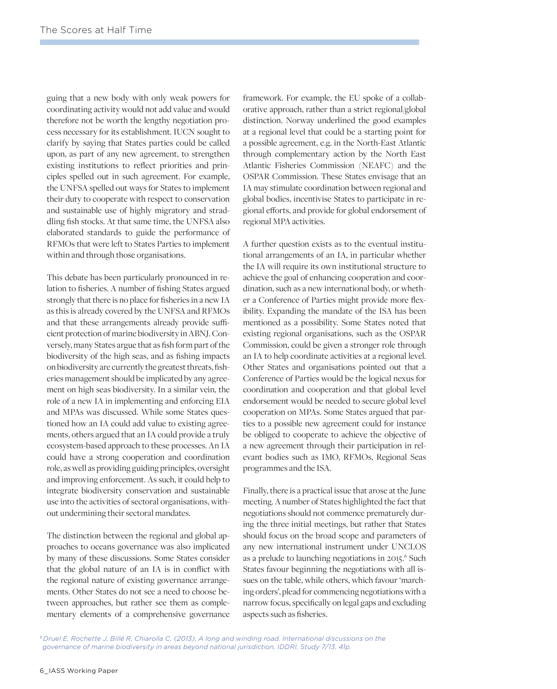guing that a new body with only weak powers for coordinating activity would not add value and would therefore not be worth the lengthy negotiation process necessary for its establishment. IUCN sought to clarify by saying that States parties could be called upon, as part of any new agreement, to strengthen existing institutions to reflect priorities and principles spelled out in such agreement. For example, the UNFSA spelled out ways for States to implement their duty to cooperate with respect to conservation and sustainable use of highly migratory and straddling fish stocks. At that same time, the UNFSA also elaborated standards to guide the performance of RFMOs that were left to States Parties to implement within and through those organisations.

This debate has been particularly pronounced in relation to fisheries. A number of fishing States argued strongly that there is no place for fisheries in a new IA as this is already covered by the UNFSA and RFMOs and that these arrangements already provide sufficient protection of marine biodiversity in ABNJ. Conversely, many States argue that as fish form part of the biodiversity of the high seas, and as fishing impacts on biodiversity are currently the greatest threats, fisheries management should be implicated by any agreement on high seas biodiversity. In a similar vein, the role of a new IA in implementing and enforcing EIA and MPAs was discussed. While some States questioned how an IA could add value to existing agreements, others argued that an IA could provide a truly ecosystem-based approach to these processes. An IA could have a strong cooperation and coordination role, as well as providing guiding principles, oversight and improving enforcement. As such, it could help to integrate biodiversity conservation and sustainable use into the activities of sectoral organisations, without undermining their sectoral mandates.

The distinction between the regional and global approaches to oceans governance was also implicated by many of these discussions. Some States consider that the global nature of an IA is in conflict with the regional nature of existing governance arrangements. Other States do not see a need to choose between approaches, but rather see them as complementary elements of a comprehensive governance

framework. For example, the EU spoke of a collaborative approach, rather than a strict regional/global distinction. Norway underlined the good examples at a regional level that could be a starting point for a possible agreement, e.g. in the North-East Atlantic through complementary action by the North East Atlantic Fisheries Commission (NEAFC) and the OSPAR Commission. These States envisage that an IA may stimulate coordination between regional and global bodies, incentivise States to participate in regional efforts, and provide for global endorsement of regional MPA activities.

A further question exists as to the eventual institutional arrangements of an IA, in particular whether the IA will require its own institutional structure to achieve the goal of enhancing cooperation and coordination, such as a new international body, or whether a Conference of Parties might provide more flexibility. Expanding the mandate of the ISA has been mentioned as a possibility. Some States noted that existing regional organisations, such as the OSPAR Commission, could be given a stronger role through an IA to help coordinate activities at a regional level. Other States and organisations pointed out that a Conference of Parties would be the logical nexus for coordination and cooperation and that global level endorsement would be needed to secure global level cooperation on MPAs. Some States argued that parties to a possible new agreement could for instance be obliged to cooperate to achieve the objective of a new agreement through their participation in relevant bodies such as IMO, RFMOs, Regional Seas programmes and the ISA.

Finally, there is a practical issue that arose at the June meeting. A number of States highlighted the fact that negotiations should not commence prematurely during the three initial meetings, but rather that States should focus on the broad scope and parameters of any new international instrument under UNCLOS as a prelude to launching negotiations in 2015.<sup>6</sup> Such States favour beginning the negotiations with all issues on the table, while others, which favour 'marching orders', plead for commencing negotiations with a narrow focus, specifically on legal gaps and excluding aspects such as fisheries.

*6 Druel E, Rochette J, Billé R, Chiarolla C, (2013), A long and winding road. International discussions on the governance of marine biodiversity in areas beyond national jurisdiction, IDDRI, Study 7/13, 41p.*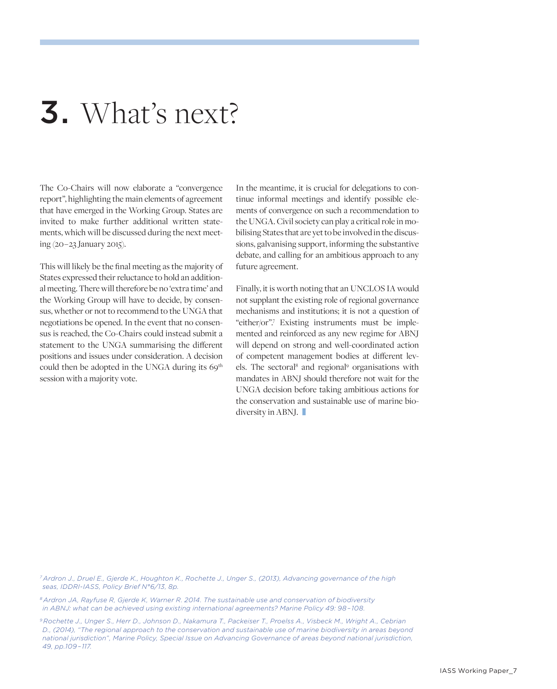#### 3. What's next?

The Co-Chairs will now elaborate a "convergence report", highlighting the main elements of agreement that have emerged in the Working Group. States are invited to make further additional written statements, which will be discussed during the next meeting (20 – 23 January 2015).

This will likely be the final meeting as the majority of States expressed their reluctance to hold an additional meeting. There will therefore be no 'extra time' and the Working Group will have to decide, by consensus, whether or not to recommend to the UNGA that negotiations be opened. In the event that no consensus is reached, the Co-Chairs could instead submit a statement to the UNGA summarising the different positions and issues under consideration. A decision could then be adopted in the UNGA during its 69<sup>th</sup> session with a majority vote.

In the meantime, it is crucial for delegations to continue informal meetings and identify possible elements of convergence on such a recommendation to the UNGA. Civil society can play a critical role in mobilising States that are yet to be involved in the discussions, galvanising support, informing the substantive debate, and calling for an ambitious approach to any future agreement.

Finally, it is worth noting that an UNCLOS IA would not supplant the existing role of regional governance mechanisms and institutions; it is not a question of "either/or".7 Existing instruments must be implemented and reinforced as any new regime for ABNJ will depend on strong and well-coordinated action of competent management bodies at different levels. The sectoral<sup>8</sup> and regional<sup>9</sup> organisations with mandates in ABNJ should therefore not wait for the UNGA decision before taking ambitious actions for the conservation and sustainable use of marine biodiversity in ABNJ.

*7 Ardron J., Druel E., Gjerde K., Houghton K., Rochette J., Unger S., (2013), Advancing governance of the high seas, IDDRI-IASS, Policy Brief N°6/13, 8p.*

*8 Ardron JA, Rayfuse R, Gjerde K, Warner R. 2014. The sustainable use and conservation of biodiversity in ABNJ: what can be achieved using existing international agreements? Marine Policy 49: 98 – 108.*

*9 Rochette J., Unger S., Herr D., Johnson D., Nakamura T., Packeiser T., Proelss A., Visbeck M., Wright A., Cebrian D., (2014), "The regional approach to the conservation and sustainable use of marine biodiversity in areas beyond national jurisdiction", Marine Policy, Special Issue on Advancing Governance of areas beyond national jurisdiction, 49, pp.109 – 117.*